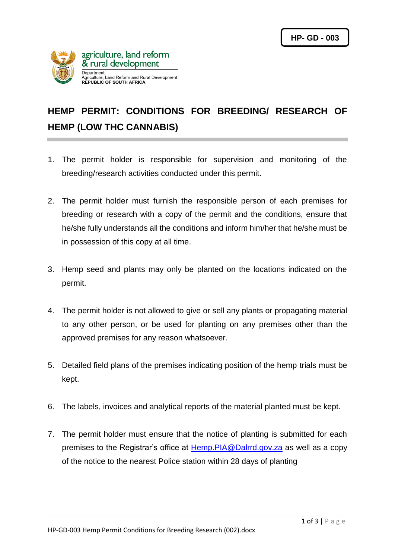

## **HEMP PERMIT: CONDITIONS FOR BREEDING/ RESEARCH OF HEMP (LOW THC CANNABIS)**

- 1. The permit holder is responsible for supervision and monitoring of the breeding/research activities conducted under this permit.
- 2. The permit holder must furnish the responsible person of each premises for breeding or research with a copy of the permit and the conditions, ensure that he/she fully understands all the conditions and inform him/her that he/she must be in possession of this copy at all time.
- 3. Hemp seed and plants may only be planted on the locations indicated on the permit.
- 4. The permit holder is not allowed to give or sell any plants or propagating material to any other person, or be used for planting on any premises other than the approved premises for any reason whatsoever.
- 5. Detailed field plans of the premises indicating position of the hemp trials must be kept.
- 6. The labels, invoices and analytical reports of the material planted must be kept.
- 7. The permit holder must ensure that the notice of planting is submitted for each premises to the Registrar's office at [Hemp.PIA@Dalrrd.gov.za](mailto:Hemp.PIA@Dalrrd.gov.za) as well as a copy of the notice to the nearest Police station within 28 days of planting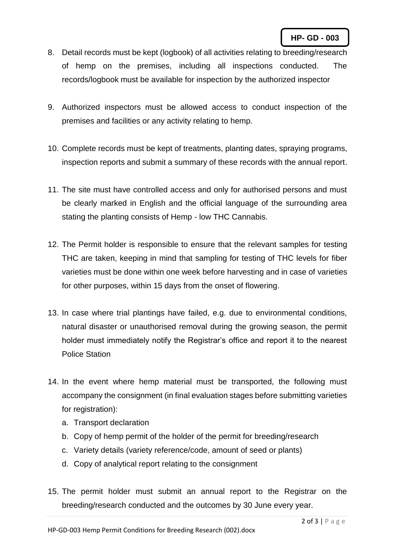- 8. Detail records must be kept (logbook) of all activities relating to breeding/research of hemp on the premises, including all inspections conducted. The records/logbook must be available for inspection by the authorized inspector
- 9. Authorized inspectors must be allowed access to conduct inspection of the premises and facilities or any activity relating to hemp.
- 10. Complete records must be kept of treatments, planting dates, spraying programs, inspection reports and submit a summary of these records with the annual report.
- 11. The site must have controlled access and only for authorised persons and must be clearly marked in English and the official language of the surrounding area stating the planting consists of Hemp - low THC Cannabis.
- 12. The Permit holder is responsible to ensure that the relevant samples for testing THC are taken, keeping in mind that sampling for testing of THC levels for fiber varieties must be done within one week before harvesting and in case of varieties for other purposes, within 15 days from the onset of flowering.
- 13. In case where trial plantings have failed, e.g. due to environmental conditions, natural disaster or unauthorised removal during the growing season, the permit holder must immediately notify the Registrar's office and report it to the nearest Police Station
- 14. In the event where hemp material must be transported, the following must accompany the consignment (in final evaluation stages before submitting varieties for registration):
	- a. Transport declaration
	- b. Copy of hemp permit of the holder of the permit for breeding/research
	- c. Variety details (variety reference/code, amount of seed or plants)
	- d. Copy of analytical report relating to the consignment
- 15. The permit holder must submit an annual report to the Registrar on the breeding/research conducted and the outcomes by 30 June every year.